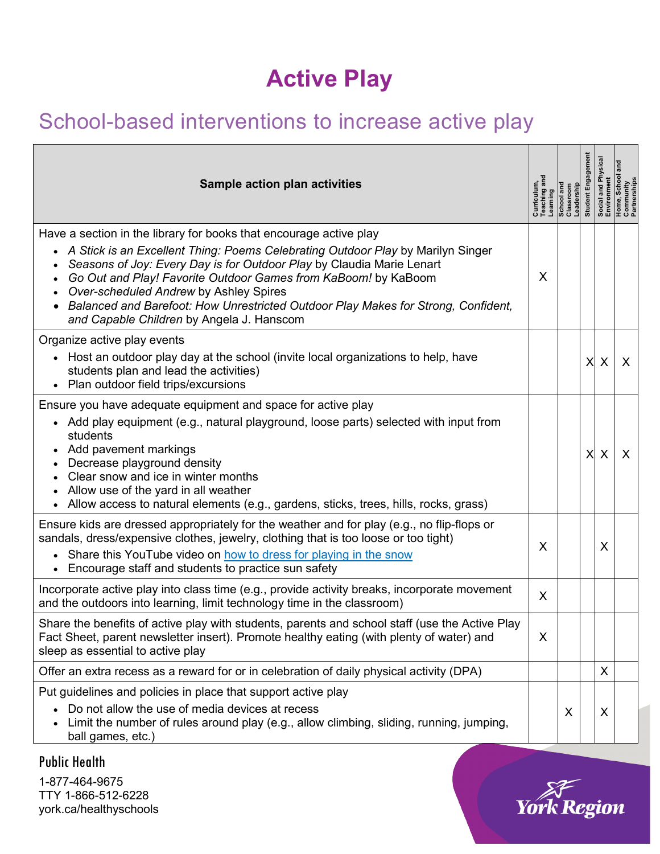## **Active Play**

## School-based interventions to increase active play

| <b>Sample action plan activities</b>                                                                                                                                                                                                                                                                                                                                                                                                                                           | Curriculum,<br>Teaching anc<br>Learning | School and<br>Classroom<br>Leadership | Engag<br>Student I |   | , School<br>unity<br>rships<br> <br>  social<br>  anviron<br>  domine<br>  Partner |
|--------------------------------------------------------------------------------------------------------------------------------------------------------------------------------------------------------------------------------------------------------------------------------------------------------------------------------------------------------------------------------------------------------------------------------------------------------------------------------|-----------------------------------------|---------------------------------------|--------------------|---|------------------------------------------------------------------------------------|
| Have a section in the library for books that encourage active play<br>• A Stick is an Excellent Thing: Poems Celebrating Outdoor Play by Marilyn Singer<br>Seasons of Joy: Every Day is for Outdoor Play by Claudia Marie Lenart<br>Go Out and Play! Favorite Outdoor Games from KaBoom! by KaBoom<br>Over-scheduled Andrew by Ashley Spires<br>Balanced and Barefoot: How Unrestricted Outdoor Play Makes for Strong, Confident,<br>and Capable Children by Angela J. Hanscom | X                                       |                                       |                    |   |                                                                                    |
| Organize active play events<br>• Host an outdoor play day at the school (invite local organizations to help, have<br>students plan and lead the activities)<br>• Plan outdoor field trips/excursions                                                                                                                                                                                                                                                                           |                                         |                                       | X                  | X | X                                                                                  |
| Ensure you have adequate equipment and space for active play<br>• Add play equipment (e.g., natural playground, loose parts) selected with input from<br>students<br>Add pavement markings<br>$\bullet$<br>Decrease playground density<br>Clear snow and ice in winter months<br>Allow use of the yard in all weather<br>• Allow access to natural elements (e.g., gardens, sticks, trees, hills, rocks, grass)                                                                |                                         |                                       | X                  | X | X                                                                                  |
| Ensure kids are dressed appropriately for the weather and for play (e.g., no flip-flops or<br>sandals, dress/expensive clothes, jewelry, clothing that is too loose or too tight)<br>• Share this YouTube video on how to dress for playing in the snow<br>Encourage staff and students to practice sun safety<br>$\bullet$                                                                                                                                                    | X                                       |                                       |                    | X |                                                                                    |
| Incorporate active play into class time (e.g., provide activity breaks, incorporate movement<br>and the outdoors into learning, limit technology time in the classroom)                                                                                                                                                                                                                                                                                                        | X                                       |                                       |                    |   |                                                                                    |
| Share the benefits of active play with students, parents and school staff (use the Active Play<br>Fact Sheet, parent newsletter insert). Promote healthy eating (with plenty of water) and<br>sleep as essential to active play                                                                                                                                                                                                                                                | $\sf X$                                 |                                       |                    |   |                                                                                    |
| Offer an extra recess as a reward for or in celebration of daily physical activity (DPA)                                                                                                                                                                                                                                                                                                                                                                                       |                                         |                                       |                    | X |                                                                                    |
| Put guidelines and policies in place that support active play<br>Do not allow the use of media devices at recess<br>Limit the number of rules around play (e.g., allow climbing, sliding, running, jumping,<br>ball games, etc.)                                                                                                                                                                                                                                               |                                         | X                                     |                    | X |                                                                                    |

## Public Health

1-877-464-9675 TTY 1-866-512-6228 york.ca/healthyschools